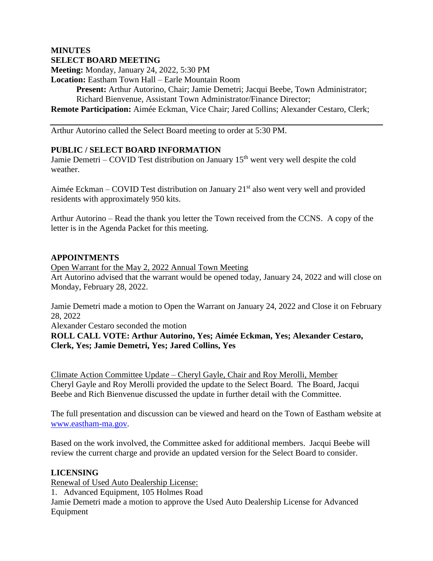#### **MINUTES SELECT BOARD MEETING**

**Meeting:** Monday, January 24, 2022, 5:30 PM

**Location:** Eastham Town Hall – Earle Mountain Room

**Present:** Arthur Autorino, Chair; Jamie Demetri; Jacqui Beebe, Town Administrator; Richard Bienvenue, Assistant Town Administrator/Finance Director;

**Remote Participation:** Aimée Eckman, Vice Chair; Jared Collins; Alexander Cestaro, Clerk;

Arthur Autorino called the Select Board meeting to order at 5:30 PM.

# **PUBLIC / SELECT BOARD INFORMATION**

Jamie Demetri – COVID Test distribution on January  $15<sup>th</sup>$  went very well despite the cold weather.

Aimée Eckman – COVID Test distribution on January  $21<sup>st</sup>$  also went very well and provided residents with approximately 950 kits.

Arthur Autorino – Read the thank you letter the Town received from the CCNS. A copy of the letter is in the Agenda Packet for this meeting.

### **APPOINTMENTS**

Open Warrant for the May 2, 2022 Annual Town Meeting Art Autorino advised that the warrant would be opened today, January 24, 2022 and will close on Monday, February 28, 2022.

Jamie Demetri made a motion to Open the Warrant on January 24, 2022 and Close it on February 28, 2022

Alexander Cestaro seconded the motion

**ROLL CALL VOTE: Arthur Autorino, Yes; Aimée Eckman, Yes; Alexander Cestaro, Clerk, Yes; Jamie Demetri, Yes; Jared Collins, Yes**

Climate Action Committee Update – Cheryl Gayle, Chair and Roy Merolli, Member Cheryl Gayle and Roy Merolli provided the update to the Select Board. The Board, Jacqui Beebe and Rich Bienvenue discussed the update in further detail with the Committee.

The full presentation and discussion can be viewed and heard on the Town of Eastham website at [www.eastham-ma.gov.](http://www.eastham-ma.gov/)

Based on the work involved, the Committee asked for additional members. Jacqui Beebe will review the current charge and provide an updated version for the Select Board to consider.

### **LICENSING**

Renewal of Used Auto Dealership License:

1. Advanced Equipment, 105 Holmes Road

Jamie Demetri made a motion to approve the Used Auto Dealership License for Advanced Equipment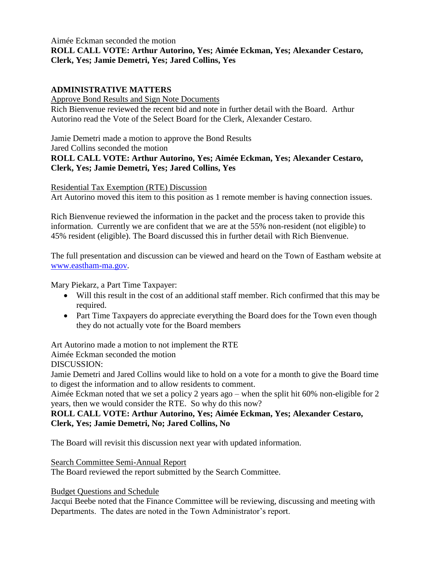### Aimée Eckman seconded the motion **ROLL CALL VOTE: Arthur Autorino, Yes; Aimée Eckman, Yes; Alexander Cestaro, Clerk, Yes; Jamie Demetri, Yes; Jared Collins, Yes**

# **ADMINISTRATIVE MATTERS**

Approve Bond Results and Sign Note Documents

Rich Bienvenue reviewed the recent bid and note in further detail with the Board. Arthur Autorino read the Vote of the Select Board for the Clerk, Alexander Cestaro.

Jamie Demetri made a motion to approve the Bond Results

Jared Collins seconded the motion

# **ROLL CALL VOTE: Arthur Autorino, Yes; Aimée Eckman, Yes; Alexander Cestaro, Clerk, Yes; Jamie Demetri, Yes; Jared Collins, Yes**

### Residential Tax Exemption (RTE) Discussion

Art Autorino moved this item to this position as 1 remote member is having connection issues.

Rich Bienvenue reviewed the information in the packet and the process taken to provide this information. Currently we are confident that we are at the 55% non-resident (not eligible) to 45% resident (eligible). The Board discussed this in further detail with Rich Bienvenue.

The full presentation and discussion can be viewed and heard on the Town of Eastham website at [www.eastham-ma.gov.](http://www.eastham-ma.gov/)

Mary Piekarz, a Part Time Taxpayer:

- Will this result in the cost of an additional staff member. Rich confirmed that this may be required.
- Part Time Taxpayers do appreciate everything the Board does for the Town even though they do not actually vote for the Board members

Art Autorino made a motion to not implement the RTE

Aimée Eckman seconded the motion

DISCUSSION:

Jamie Demetri and Jared Collins would like to hold on a vote for a month to give the Board time to digest the information and to allow residents to comment.

Aimée Eckman noted that we set a policy 2 years ago – when the split hit 60% non-eligible for 2 years, then we would consider the RTE. So why do this now?

### **ROLL CALL VOTE: Arthur Autorino, Yes; Aimée Eckman, Yes; Alexander Cestaro, Clerk, Yes; Jamie Demetri, No; Jared Collins, No**

The Board will revisit this discussion next year with updated information.

Search Committee Semi-Annual Report

The Board reviewed the report submitted by the Search Committee.

Budget Questions and Schedule

Jacqui Beebe noted that the Finance Committee will be reviewing, discussing and meeting with Departments. The dates are noted in the Town Administrator's report.